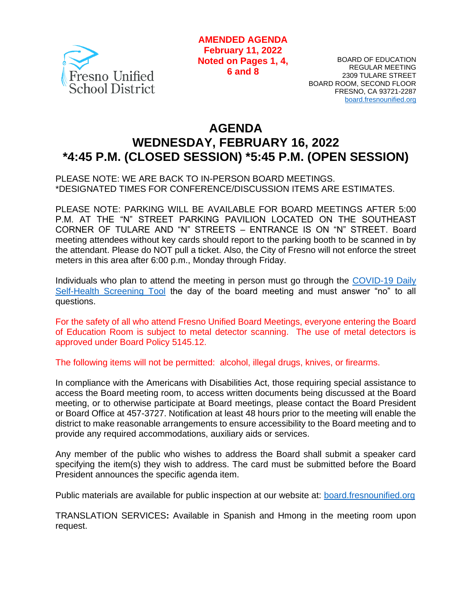

**AMENDED AGENDA February 11, 2022 Noted on Pages 1, 4, 6 and 8**

# **AGENDA WEDNESDAY, FEBRUARY 16, 2022 \*4:45 P.M. (CLOSED SESSION) \*5:45 P.M. (OPEN SESSION)**

PLEASE NOTE: WE ARE BACK TO IN-PERSON BOARD MEETINGS. \*DESIGNATED TIMES FOR CONFERENCE/DISCUSSION ITEMS ARE ESTIMATES.

PLEASE NOTE: PARKING WILL BE AVAILABLE FOR BOARD MEETINGS AFTER 5:00 P.M. AT THE "N" STREET PARKING PAVILION LOCATED ON THE SOUTHEAST CORNER OF TULARE AND "N" STREETS – ENTRANCE IS ON "N" STREET. Board meeting attendees without key cards should report to the parking booth to be scanned in by the attendant. Please do NOT pull a ticket. Also, the City of Fresno will not enforce the street meters in this area after 6:00 p.m., Monday through Friday.

Individuals who plan to attend the meeting in person must go through the [COVID-19 Daily](https://www.fresnounified.org/covid19/)  [Self-Health Screening Tool](https://www.fresnounified.org/covid19/) the day of the board meeting and must answer "no" to all questions.

For the safety of all who attend Fresno Unified Board Meetings, everyone entering the Board of Education Room is subject to metal detector scanning. The use of metal detectors is approved under Board Policy 5145.12.

The following items will not be permitted: alcohol, illegal drugs, knives, or firearms.

In compliance with the Americans with Disabilities Act, those requiring special assistance to access the Board meeting room, to access written documents being discussed at the Board meeting, or to otherwise participate at Board meetings, please contact the Board President or Board Office at 457-3727. Notification at least 48 hours prior to the meeting will enable the district to make reasonable arrangements to ensure accessibility to the Board meeting and to provide any required accommodations, auxiliary aids or services.

Any member of the public who wishes to address the Board shall submit a speaker card specifying the item(s) they wish to address. The card must be submitted before the Board President announces the specific agenda item.

Public materials are available for public inspection at our website at: [board.fresnounified.org](https://board.fresnounified.org/)

TRANSLATION SERVICES**:** Available in Spanish and Hmong in the meeting room upon request.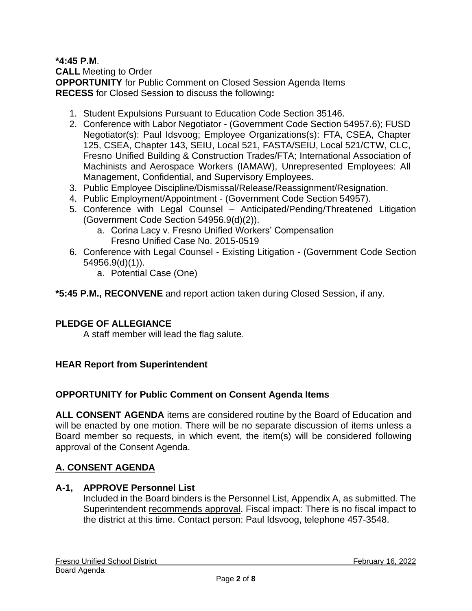# **\*4:45 P.M**.

**CALL** Meeting to Order **OPPORTUNITY** for Public Comment on Closed Session Agenda Items **RECESS** for Closed Session to discuss the following**:**

- 1. Student Expulsions Pursuant to Education Code Section 35146.
- 2. Conference with Labor Negotiator (Government Code Section 54957.6); FUSD Negotiator(s): Paul Idsvoog; Employee Organizations(s): FTA, CSEA, Chapter 125, CSEA, Chapter 143, SEIU, Local 521, FASTA/SEIU, Local 521/CTW, CLC, Fresno Unified Building & Construction Trades/FTA; International Association of Machinists and Aerospace Workers (IAMAW), Unrepresented Employees: All Management, Confidential, and Supervisory Employees.
- 3. Public Employee Discipline/Dismissal/Release/Reassignment/Resignation.
- 4. Public Employment/Appointment (Government Code Section 54957).
- 5. Conference with Legal Counsel Anticipated/Pending/Threatened Litigation (Government Code Section 54956.9(d)(2)).
	- a. Corina Lacy v. Fresno Unified Workers' Compensation Fresno Unified Case No. 2015-0519
- 6. Conference with Legal Counsel Existing Litigation (Government Code Section 54956.9(d)(1)).
	- a. Potential Case (One)

**\*5:45 P.M., RECONVENE** and report action taken during Closed Session, if any.

#### **PLEDGE OF ALLEGIANCE**

A staff member will lead the flag salute.

#### **HEAR Report from Superintendent**

#### **OPPORTUNITY for Public Comment on Consent Agenda Items**

**ALL CONSENT AGENDA** items are considered routine by the Board of Education and will be enacted by one motion. There will be no separate discussion of items unless a Board member so requests, in which event, the item(s) will be considered following approval of the Consent Agenda.

# **A. CONSENT AGENDA**

#### **A-1, APPROVE Personnel List**

Included in the Board binders is the Personnel List, Appendix A, as submitted. The Superintendent recommends approval. Fiscal impact: There is no fiscal impact to the district at this time. Contact person: Paul Idsvoog, telephone 457-3548.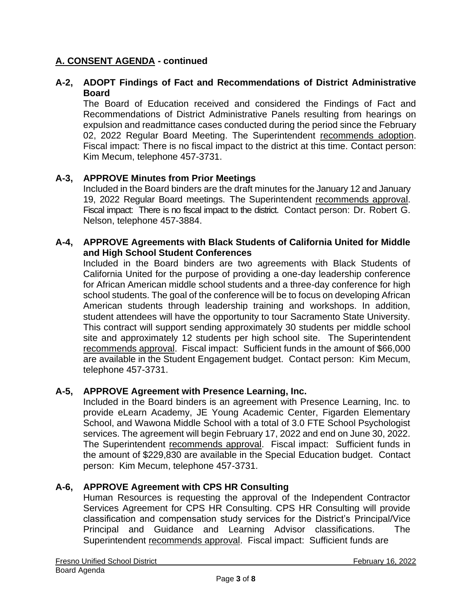### **A-2, ADOPT Findings of Fact and Recommendations of District Administrative Board**

The Board of Education received and considered the Findings of Fact and Recommendations of District Administrative Panels resulting from hearings on expulsion and readmittance cases conducted during the period since the February 02, 2022 Regular Board Meeting. The Superintendent recommends adoption. Fiscal impact: There is no fiscal impact to the district at this time. Contact person: Kim Mecum, telephone 457-3731.

### **A-3, APPROVE Minutes from Prior Meetings**

Included in the Board binders are the draft minutes for the January 12 and January 19, 2022 Regular Board meetings. The Superintendent recommends approval. Fiscal impact: There is no fiscal impact to the district. Contact person: Dr. Robert G. Nelson, telephone 457-3884.

#### **A-4, APPROVE Agreements with Black Students of California United for Middle and High School Student Conferences**

Included in the Board binders are two agreements with Black Students of California United for the purpose of providing a one-day leadership conference for African American middle school students and a three-day conference for high school students. The goal of the conference will be to focus on developing African American students through leadership training and workshops. In addition, student attendees will have the opportunity to tour Sacramento State University. This contract will support sending approximately 30 students per middle school site and approximately 12 students per high school site. The Superintendent recommends approval. Fiscal impact: Sufficient funds in the amount of \$66,000 are available in the Student Engagement budget. Contact person: Kim Mecum, telephone 457-3731.

#### **A-5, APPROVE Agreement with Presence Learning, Inc.**

Included in the Board binders is an agreement with Presence Learning, Inc. to provide eLearn Academy, JE Young Academic Center, Figarden Elementary School, and Wawona Middle School with a total of 3.0 FTE School Psychologist services. The agreement will begin February 17, 2022 and end on June 30, 2022. The Superintendent recommends approval. Fiscal impact: Sufficient funds in the amount of \$229,830 are available in the Special Education budget. Contact person: Kim Mecum, telephone 457-3731.

# **A-6, APPROVE Agreement with CPS HR Consulting**

Human Resources is requesting the approval of the Independent Contractor Services Agreement for CPS HR Consulting. CPS HR Consulting will provide classification and compensation study services for the District's Principal/Vice Principal and Guidance and Learning Advisor classifications. The Superintendent recommends approval. Fiscal impact: Sufficient funds are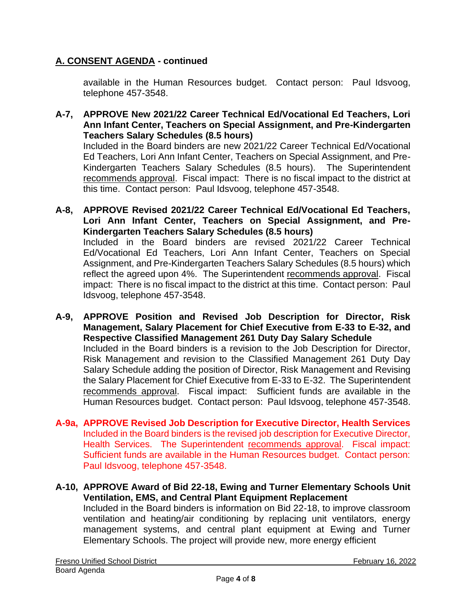available in the Human Resources budget. Contact person: Paul Idsvoog, telephone 457-3548.

**A-7, APPROVE New 2021/22 Career Technical Ed/Vocational Ed Teachers, Lori Ann Infant Center, Teachers on Special Assignment, and Pre-Kindergarten Teachers Salary Schedules (8.5 hours)**

Included in the Board binders are new 2021/22 Career Technical Ed/Vocational Ed Teachers, Lori Ann Infant Center, Teachers on Special Assignment, and Pre-Kindergarten Teachers Salary Schedules (8.5 hours). The Superintendent recommends approval. Fiscal impact: There is no fiscal impact to the district at this time. Contact person: Paul Idsvoog, telephone 457-3548.

- **A-8, APPROVE Revised 2021/22 Career Technical Ed/Vocational Ed Teachers, Lori Ann Infant Center, Teachers on Special Assignment, and Pre-Kindergarten Teachers Salary Schedules (8.5 hours)** Included in the Board binders are revised 2021/22 Career Technical Ed/Vocational Ed Teachers, Lori Ann Infant Center, Teachers on Special Assignment, and Pre-Kindergarten Teachers Salary Schedules (8.5 hours) which reflect the agreed upon 4%. The Superintendent recommends approval. Fiscal impact: There is no fiscal impact to the district at this time. Contact person: Paul Idsvoog, telephone 457-3548.
- **A-9, APPROVE Position and Revised Job Description for Director, Risk Management, Salary Placement for Chief Executive from E-33 to E-32, and Respective Classified Management 261 Duty Day Salary Schedule** Included in the Board binders is a revision to the Job Description for Director, Risk Management and revision to the Classified Management 261 Duty Day Salary Schedule adding the position of Director, Risk Management and Revising the Salary Placement for Chief Executive from E-33 to E-32. The Superintendent recommends approval. Fiscal impact: Sufficient funds are available in the Human Resources budget. Contact person: Paul Idsvoog, telephone 457-3548.
- **A-9a, APPROVE Revised Job Description for Executive Director, Health Services** Included in the Board binders is the revised job description for Executive Director, Health Services. The Superintendent recommends approval. Fiscal impact: Sufficient funds are available in the Human Resources budget. Contact person: Paul Idsvoog, telephone 457-3548.
- **A-10, APPROVE Award of Bid 22-18, Ewing and Turner Elementary Schools Unit Ventilation, EMS, and Central Plant Equipment Replacement**

Included in the Board binders is information on Bid 22-18, to improve classroom ventilation and heating/air conditioning by replacing unit ventilators, energy management systems, and central plant equipment at Ewing and Turner Elementary Schools. The project will provide new, more energy efficient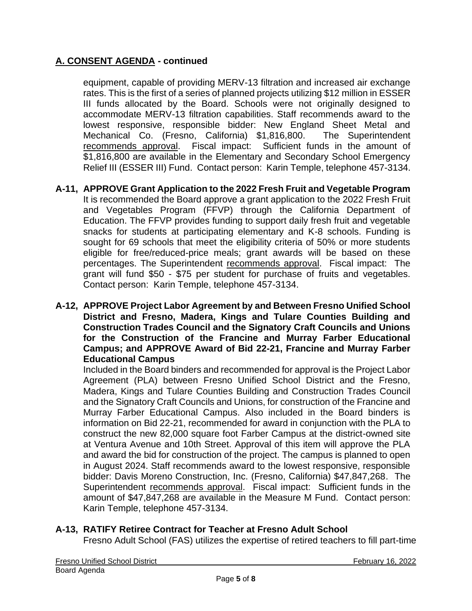equipment, capable of providing MERV-13 filtration and increased air exchange rates. This is the first of a series of planned projects utilizing \$12 million in ESSER III funds allocated by the Board. Schools were not originally designed to accommodate MERV-13 filtration capabilities. Staff recommends award to the lowest responsive, responsible bidder: New England Sheet Metal and Mechanical Co. (Fresno, California) \$1,816,800. The Superintendent recommends approval. Fiscal impact: Sufficient funds in the amount of \$1,816,800 are available in the Elementary and Secondary School Emergency Relief III (ESSER III) Fund. Contact person: Karin Temple, telephone 457-3134.

- **A-11, APPROVE Grant Application to the 2022 Fresh Fruit and Vegetable Program** It is recommended the Board approve a grant application to the 2022 Fresh Fruit and Vegetables Program (FFVP) through the California Department of Education. The FFVP provides funding to support daily fresh fruit and vegetable snacks for students at participating elementary and K-8 schools. Funding is sought for 69 schools that meet the eligibility criteria of 50% or more students eligible for free/reduced-price meals; grant awards will be based on these percentages. The Superintendent recommends approval. Fiscal impact: The grant will fund \$50 - \$75 per student for purchase of fruits and vegetables. Contact person: Karin Temple, telephone 457-3134.
- **A-12, APPROVE Project Labor Agreement by and Between Fresno Unified School District and Fresno, Madera, Kings and Tulare Counties Building and Construction Trades Council and the Signatory Craft Councils and Unions for the Construction of the Francine and Murray Farber Educational Campus; and APPROVE Award of Bid 22-21, Francine and Murray Farber Educational Campus**

Included in the Board binders and recommended for approval is the Project Labor Agreement (PLA) between Fresno Unified School District and the Fresno, Madera, Kings and Tulare Counties Building and Construction Trades Council and the Signatory Craft Councils and Unions, for construction of the Francine and Murray Farber Educational Campus. Also included in the Board binders is information on Bid 22-21, recommended for award in conjunction with the PLA to construct the new 82,000 square foot Farber Campus at the district-owned site at Ventura Avenue and 10th Street. Approval of this item will approve the PLA and award the bid for construction of the project. The campus is planned to open in August 2024. Staff recommends award to the lowest responsive, responsible bidder: Davis Moreno Construction, Inc. (Fresno, California) \$47,847,268. The Superintendent recommends approval. Fiscal impact: Sufficient funds in the amount of \$47,847,268 are available in the Measure M Fund. Contact person: Karin Temple, telephone 457-3134.

# **A-13, RATIFY Retiree Contract for Teacher at Fresno Adult School**

Fresno Adult School (FAS) utilizes the expertise of retired teachers to fill part-time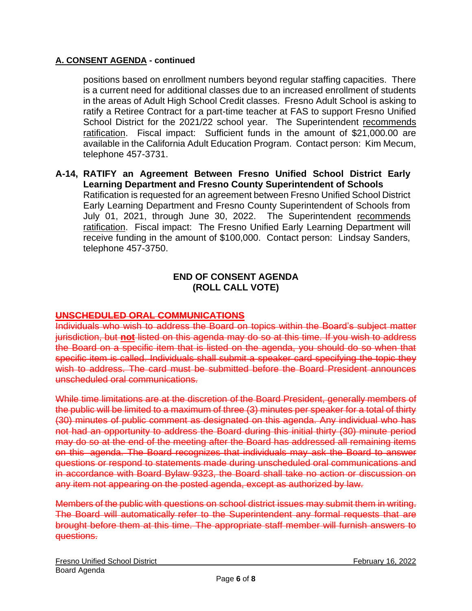positions based on enrollment numbers beyond regular staffing capacities. There is a current need for additional classes due to an increased enrollment of students in the areas of Adult High School Credit classes. Fresno Adult School is asking to ratify a Retiree Contract for a part-time teacher at FAS to support Fresno Unified School District for the 2021/22 school year. The Superintendent recommends ratification. Fiscal impact: Sufficient funds in the amount of \$21,000.00 are available in the California Adult Education Program. Contact person: Kim Mecum, telephone 457-3731.

**A-14, RATIFY an Agreement Between Fresno Unified School District Early Learning Department and Fresno County Superintendent of Schools** Ratification is requested for an agreement between Fresno Unified School District Early Learning Department and Fresno County Superintendent of Schools from July 01, 2021, through June 30, 2022. The Superintendent recommends ratification. Fiscal impact: The Fresno Unified Early Learning Department will receive funding in the amount of \$100,000. Contact person: Lindsay Sanders, telephone 457-3750.

### **END OF CONSENT AGENDA (ROLL CALL VOTE)**

#### **UNSCHEDULED ORAL COMMUNICATIONS**

Individuals who wish to address the Board on topics within the Board's subject matter jurisdiction, but **not** listed on this agenda may do so at this time. If you wish to address the Board on a specific item that is listed on the agenda, you should do so when that specific item is called. Individuals shall submit a speaker card specifying the topic they wish to address. The card must be submitted before the Board President announces unscheduled oral communications.

While time limitations are at the discretion of the Board President, generally members of the public will be limited to a maximum of three (3) minutes per speaker for a total of thirty (30) minutes of public comment as designated on this agenda. Any individual who has not had an opportunity to address the Board during this initial thirty (30) minute period may do so at the end of the meeting after the Board has addressed all remaining items on this agenda. The Board recognizes that individuals may ask the Board to answer questions or respond to statements made during unscheduled oral communications and in accordance with Board Bylaw 9323, the Board shall take no action or discussion on any item not appearing on the posted agenda, except as authorized by law.

Members of the public with questions on school district issues may submit them in writing. The Board will automatically refer to the Superintendent any formal requests that are brought before them at this time. The appropriate staff member will furnish answers to questions.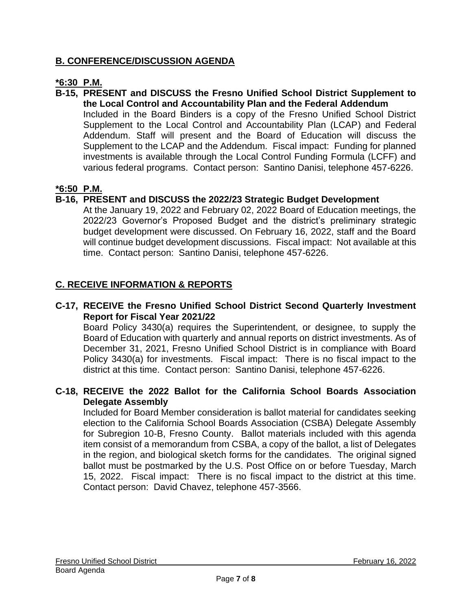# **B. CONFERENCE/DISCUSSION AGENDA**

# **\*6:30 P.M.**

### **B-15, PRESENT and DISCUSS the Fresno Unified School District Supplement to the Local Control and Accountability Plan and the Federal Addendum**

Included in the Board Binders is a copy of the Fresno Unified School District Supplement to the Local Control and Accountability Plan (LCAP) and Federal Addendum. Staff will present and the Board of Education will discuss the Supplement to the LCAP and the Addendum. Fiscal impact: Funding for planned investments is available through the Local Control Funding Formula (LCFF) and various federal programs. Contact person: Santino Danisi, telephone 457-6226.

# **\*6:50 P.M.**

# **B-16, PRESENT and DISCUSS the 2022/23 Strategic Budget Development**

At the January 19, 2022 and February 02, 2022 Board of Education meetings, the 2022/23 Governor's Proposed Budget and the district's preliminary strategic budget development were discussed. On February 16, 2022, staff and the Board will continue budget development discussions. Fiscal impact: Not available at this time. Contact person: Santino Danisi, telephone 457-6226.

# **C. RECEIVE INFORMATION & REPORTS**

### **C-17, RECEIVE the Fresno Unified School District Second Quarterly Investment Report for Fiscal Year 2021/22**

Board Policy 3430(a) requires the Superintendent, or designee, to supply the Board of Education with quarterly and annual reports on district investments. As of December 31, 2021, Fresno Unified School District is in compliance with Board Policy 3430(a) for investments. Fiscal impact: There is no fiscal impact to the district at this time. Contact person: Santino Danisi, telephone 457-6226.

#### **C-18, RECEIVE the 2022 Ballot for the California School Boards Association Delegate Assembly**

Included for Board Member consideration is ballot material for candidates seeking election to the California School Boards Association (CSBA) Delegate Assembly for Subregion 10-B, Fresno County. Ballot materials included with this agenda item consist of a memorandum from CSBA, a copy of the ballot, a list of Delegates in the region, and biological sketch forms for the candidates. The original signed ballot must be postmarked by the U.S. Post Office on or before Tuesday, March 15, 2022. Fiscal impact: There is no fiscal impact to the district at this time. Contact person: David Chavez, telephone 457-3566.